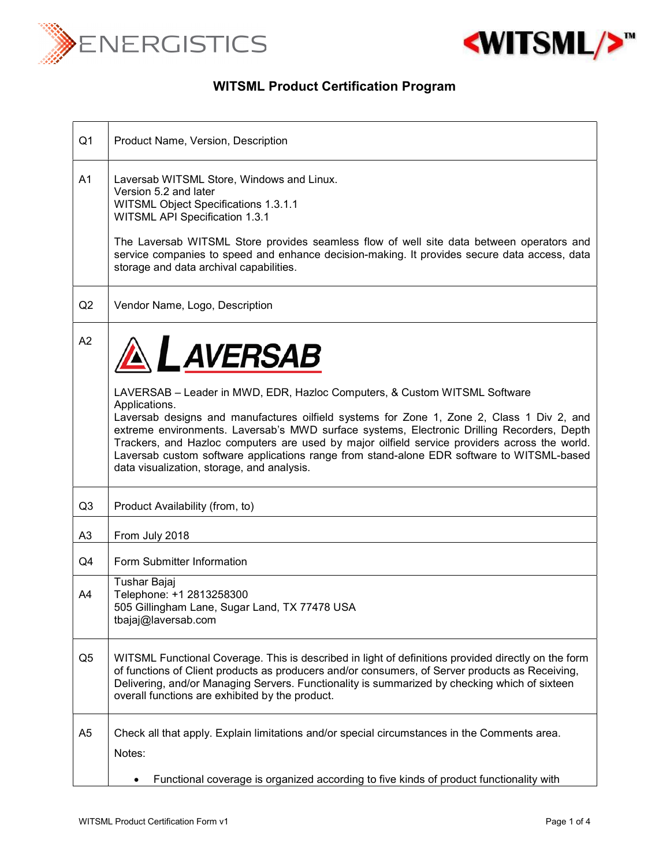



## WITSML Product Certification Program

| Q1             | Product Name, Version, Description                                                                                                                                                                                                                                                                                                                                                                                                                                                                                                                     |
|----------------|--------------------------------------------------------------------------------------------------------------------------------------------------------------------------------------------------------------------------------------------------------------------------------------------------------------------------------------------------------------------------------------------------------------------------------------------------------------------------------------------------------------------------------------------------------|
| A <sub>1</sub> | Laversab WITSML Store, Windows and Linux.<br>Version 5.2 and later<br>WITSML Object Specifications 1.3.1.1<br>WITSML API Specification 1.3.1<br>The Laversab WITSML Store provides seamless flow of well site data between operators and<br>service companies to speed and enhance decision-making. It provides secure data access, data<br>storage and data archival capabilities.                                                                                                                                                                    |
| Q2             | Vendor Name, Logo, Description                                                                                                                                                                                                                                                                                                                                                                                                                                                                                                                         |
| A2             | <b>AL AVERSAB</b><br>LAVERSAB - Leader in MWD, EDR, Hazloc Computers, & Custom WITSML Software<br>Applications.<br>Laversab designs and manufactures oilfield systems for Zone 1, Zone 2, Class 1 Div 2, and<br>extreme environments. Laversab's MWD surface systems, Electronic Drilling Recorders, Depth<br>Trackers, and Hazloc computers are used by major oilfield service providers across the world.<br>Laversab custom software applications range from stand-alone EDR software to WITSML-based<br>data visualization, storage, and analysis. |
| Q <sub>3</sub> | Product Availability (from, to)                                                                                                                                                                                                                                                                                                                                                                                                                                                                                                                        |
| A <sub>3</sub> | From July 2018                                                                                                                                                                                                                                                                                                                                                                                                                                                                                                                                         |
| Q4             | Form Submitter Information                                                                                                                                                                                                                                                                                                                                                                                                                                                                                                                             |
| A4             | Tushar Bajaj<br>Telephone: +1 2813258300<br>505 Gillingham Lane, Sugar Land, TX 77478 USA<br>$\text{tba}$ iaj@laversab.com                                                                                                                                                                                                                                                                                                                                                                                                                             |
| Q <sub>5</sub> | WITSML Functional Coverage. This is described in light of definitions provided directly on the form<br>of functions of Client products as producers and/or consumers, of Server products as Receiving,<br>Delivering, and/or Managing Servers. Functionality is summarized by checking which of sixteen<br>overall functions are exhibited by the product.                                                                                                                                                                                             |
| A <sub>5</sub> | Check all that apply. Explain limitations and/or special circumstances in the Comments area.<br>Notes:<br>Functional coverage is organized according to five kinds of product functionality with                                                                                                                                                                                                                                                                                                                                                       |
|                |                                                                                                                                                                                                                                                                                                                                                                                                                                                                                                                                                        |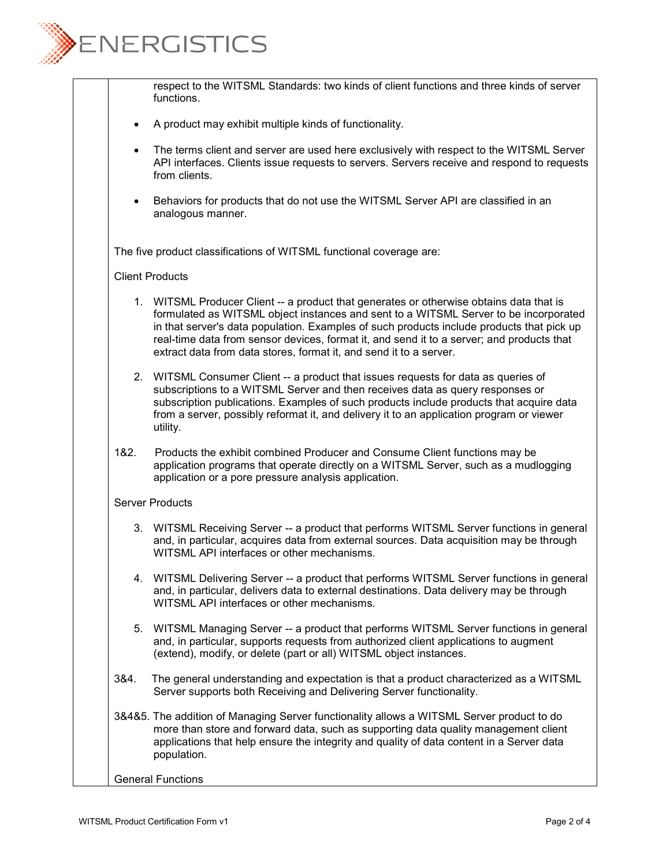

respect to the WITSML Standards: two kinds of client functions and three kinds of server functions.

- A product may exhibit multiple kinds of functionality.
- The terms client and server are used here exclusively with respect to the WITSML Server API interfaces. Clients issue requests to servers. Servers receive and respond to requests from clients.
- Behaviors for products that do not use the WITSML Server API are classified in an analogous manner.

The five product classifications of WITSML functional coverage are:

## Client Products

- 1. WITSML Producer Client -- a product that generates or otherwise obtains data that is formulated as WITSML object instances and sent to a WITSML Server to be incorporated in that server's data population. Examples of such products include products that pick up real-time data from sensor devices, format it, and send it to a server; and products that extract data from data stores, format it, and send it to a server.
- 2. WITSML Consumer Client -- a product that issues requests for data as queries of subscriptions to a WITSML Server and then receives data as query responses or subscription publications. Examples of such products include products that acquire data from a server, possibly reformat it, and delivery it to an application program or viewer utility.
- 1&2. Products the exhibit combined Producer and Consume Client functions may be application programs that operate directly on a WITSML Server, such as a mudlogging application or a pore pressure analysis application.

## Server Products

- 3. WITSML Receiving Server -- a product that performs WITSML Server functions in general and, in particular, acquires data from external sources. Data acquisition may be through WITSML API interfaces or other mechanisms.
- 4. WITSML Delivering Server -- a product that performs WITSML Server functions in general and, in particular, delivers data to external destinations. Data delivery may be through WITSML API interfaces or other mechanisms.
- 5. WITSML Managing Server -- a product that performs WITSML Server functions in general and, in particular, supports requests from authorized client applications to augment (extend), modify, or delete (part or all) WITSML object instances.
- 3&4. The general understanding and expectation is that a product characterized as a WITSML Server supports both Receiving and Delivering Server functionality.
- 3&4&5. The addition of Managing Server functionality allows a WITSML Server product to do more than store and forward data, such as supporting data quality management client applications that help ensure the integrity and quality of data content in a Server data population.

## General Functions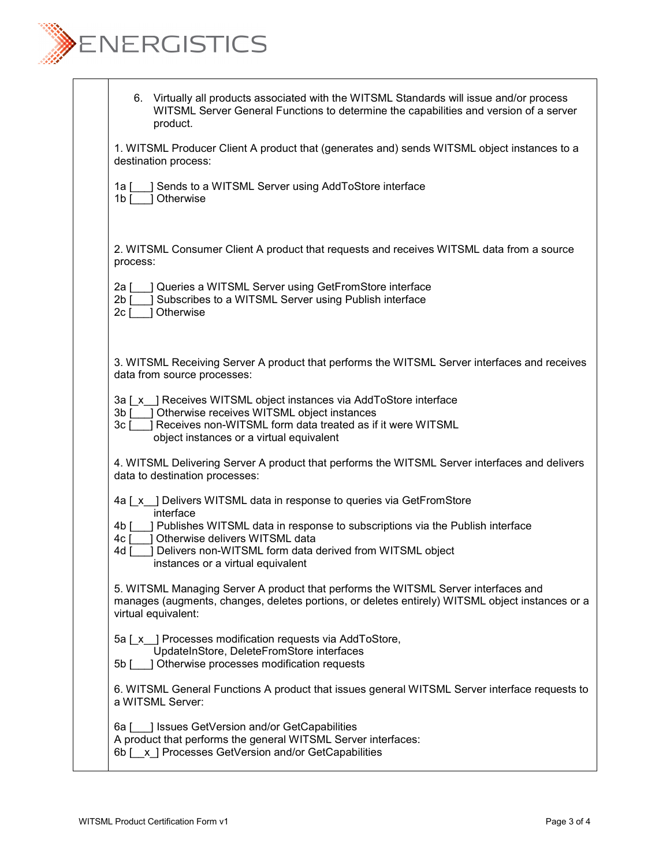

|          | 6. Virtually all products associated with the WITSML Standards will issue and/or process<br>WITSML Server General Functions to determine the capabilities and version of a server<br>product.                                           |
|----------|-----------------------------------------------------------------------------------------------------------------------------------------------------------------------------------------------------------------------------------------|
|          | 1. WITSML Producer Client A product that (generates and) sends WITSML object instances to a<br>destination process:                                                                                                                     |
|          | 1a [ ] Sends to a WITSML Server using AddToStore interface<br>1b [ ] Otherwise                                                                                                                                                          |
| process: | 2. WITSML Consumer Client A product that requests and receives WITSML data from a source                                                                                                                                                |
|          | 2a [ ] Queries a WITSML Server using GetFromStore interface<br>2b [ ] Subscribes to a WITSML Server using Publish interface<br>2c [ ] Otherwise                                                                                         |
|          | 3. WITSML Receiving Server A product that performs the WITSML Server interfaces and receives<br>data from source processes:                                                                                                             |
|          | 3a [x ] Receives WITSML object instances via AddToStore interface<br>3b [ ] Otherwise receives WITSML object instances<br>3c [ ] Receives non-WITSML form data treated as if it were WITSML<br>object instances or a virtual equivalent |
|          | 4. WITSML Delivering Server A product that performs the WITSML Server interfaces and delivers<br>data to destination processes:                                                                                                         |
|          | 4a [x ] Delivers WITSML data in response to queries via GetFromStore<br>interface                                                                                                                                                       |
|          | 4b [ ] Publishes WITSML data in response to subscriptions via the Publish interface<br>4c [ ] Otherwise delivers WITSML data                                                                                                            |
|          | 4d [ ] Delivers non-WITSML form data derived from WITSML object<br>instances or a virtual equivalent                                                                                                                                    |
|          | 5. WITSML Managing Server A product that performs the WITSML Server interfaces and<br>manages (augments, changes, deletes portions, or deletes entirely) WITSML object instances or a<br>virtual equivalent:                            |
|          | 5a [x ] Processes modification requests via AddToStore,                                                                                                                                                                                 |
|          | UpdateInStore, DeleteFromStore interfaces<br>5b [ ] Otherwise processes modification requests                                                                                                                                           |
|          | 6. WITSML General Functions A product that issues general WITSML Server interface requests to<br>a WITSML Server:                                                                                                                       |
|          | 6a [10] Issues GetVersion and/or GetCapabilities<br>A product that performs the general WITSML Server interfaces:<br>6b [x] Processes GetVersion and/or GetCapabilities                                                                 |